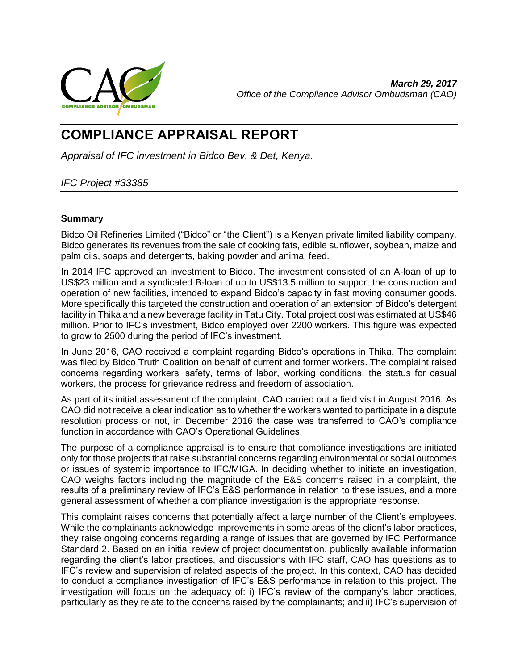

# **COMPLIANCE APPRAISAL REPORT**

*Appraisal of IFC investment in Bidco Bev. & Det, Kenya.*

# <span id="page-0-0"></span>*IFC Project #33385*

# **Summary**

Bidco Oil Refineries Limited ("Bidco" or "the Client") is a Kenyan private limited liability company. Bidco generates its revenues from the sale of cooking fats, edible sunflower, soybean, maize and palm oils, soaps and detergents, baking powder and animal feed.

In 2014 IFC approved an investment to Bidco. The investment consisted of an A-loan of up to US\$23 million and a syndicated B-loan of up to US\$13.5 million to support the construction and operation of new facilities, intended to expand Bidco's capacity in fast moving consumer goods. More specifically this targeted the construction and operation of an extension of Bidco's detergent facility in Thika and a new beverage facility in Tatu City. Total project cost was estimated at US\$46 million. Prior to IFC's investment, Bidco employed over 2200 workers. This figure was expected to grow to 2500 during the period of IFC's investment.

In June 2016, CAO received a complaint regarding Bidco's operations in Thika. The complaint was filed by Bidco Truth Coalition on behalf of current and former workers. The complaint raised concerns regarding workers' safety, terms of labor, working conditions, the status for casual workers, the process for grievance redress and freedom of association.

As part of its initial assessment of the complaint, CAO carried out a field visit in August 2016. As CAO did not receive a clear indication as to whether the workers wanted to participate in a dispute resolution process or not, in December 2016 the case was transferred to CAO's compliance function in accordance with CAO's Operational Guidelines.

The purpose of a compliance appraisal is to ensure that compliance investigations are initiated only for those projects that raise substantial concerns regarding environmental or social outcomes or issues of systemic importance to IFC/MIGA. In deciding whether to initiate an investigation, CAO weighs factors including the magnitude of the E&S concerns raised in a complaint, the results of a preliminary review of IFC's E&S performance in relation to these issues, and a more general assessment of whether a compliance investigation is the appropriate response.

This complaint raises concerns that potentially affect a large number of the Client's employees. While the complainants acknowledge improvements in some areas of the client's labor practices, they raise ongoing concerns regarding a range of issues that are governed by IFC Performance Standard 2. Based on an initial review of project documentation, publically available information regarding the client's labor practices, and discussions with IFC staff, CAO has questions as to IFC's review and supervision of related aspects of the project. In this context, CAO has decided to conduct a compliance investigation of IFC's E&S performance in relation to this project. The investigation will focus on the adequacy of: i) IFC's review of the company's labor practices, particularly as they relate to the concerns raised by the complainants; and ii) IFC's supervision of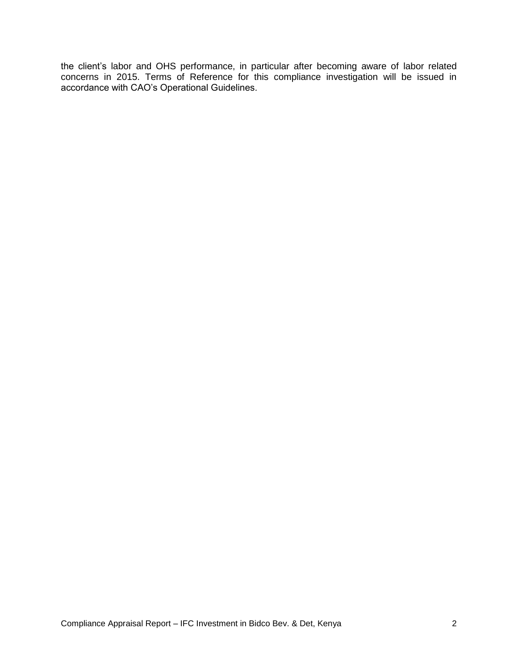the client's labor and OHS performance, in particular after becoming aware of labor related concerns in 2015. Terms of Reference for this compliance investigation will be issued in accordance with CAO's Operational Guidelines.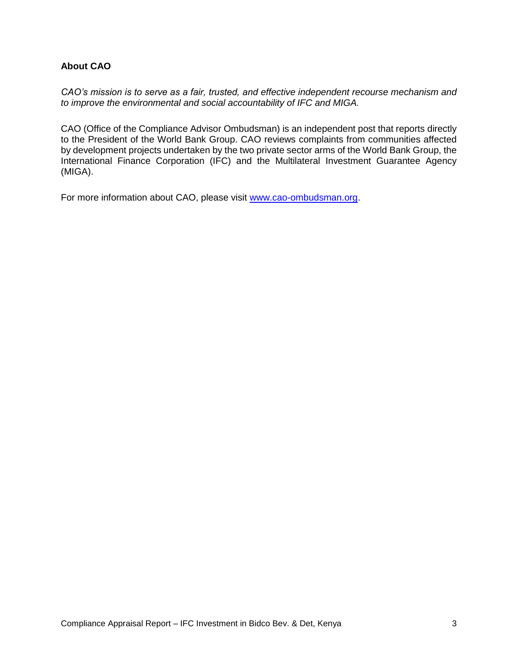# <span id="page-2-0"></span>**About CAO**

*CAO's mission is to serve as a fair, trusted, and effective independent recourse mechanism and to improve the environmental and social accountability of IFC and MIGA.*

CAO (Office of the Compliance Advisor Ombudsman) is an independent post that reports directly to the President of the World Bank Group. CAO reviews complaints from communities affected by development projects undertaken by the two private sector arms of the World Bank Group, the International Finance Corporation (IFC) and the Multilateral Investment Guarantee Agency (MIGA).

For more information about CAO, please visit [www.cao-ombudsman.org.](http://www.cao-ombudsman.org/)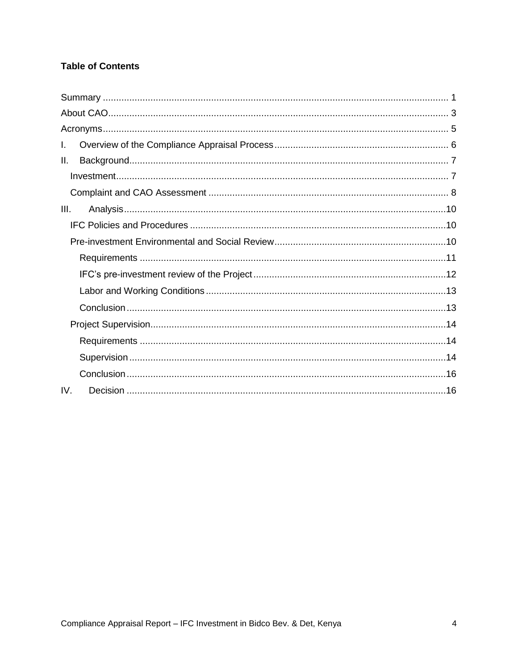# **Table of Contents**

| I.   |
|------|
| II.  |
|      |
|      |
| III. |
|      |
|      |
|      |
|      |
|      |
|      |
|      |
|      |
|      |
|      |
| IV.  |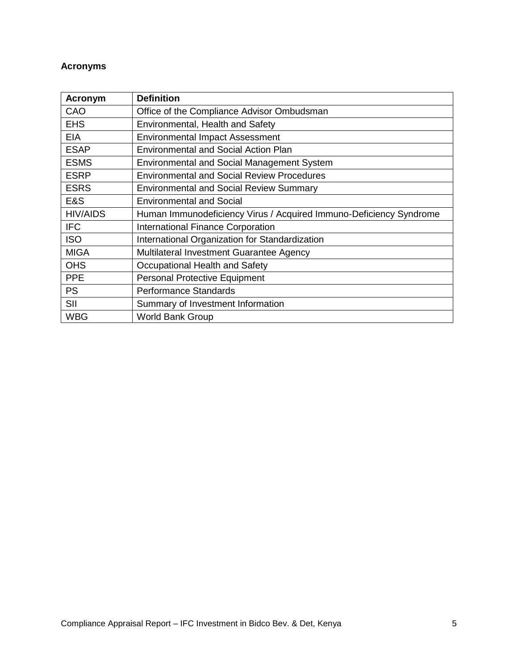# <span id="page-4-0"></span>**Acronyms**

| <b>Acronym</b>  | <b>Definition</b>                                                  |
|-----------------|--------------------------------------------------------------------|
| CAO             | Office of the Compliance Advisor Ombudsman                         |
| <b>EHS</b>      | Environmental, Health and Safety                                   |
| EIA             | <b>Environmental Impact Assessment</b>                             |
| <b>ESAP</b>     | <b>Environmental and Social Action Plan</b>                        |
| <b>ESMS</b>     | <b>Environmental and Social Management System</b>                  |
| <b>ESRP</b>     | <b>Environmental and Social Review Procedures</b>                  |
| <b>ESRS</b>     | <b>Environmental and Social Review Summary</b>                     |
| E&S             | <b>Environmental and Social</b>                                    |
| <b>HIV/AIDS</b> | Human Immunodeficiency Virus / Acquired Immuno-Deficiency Syndrome |
| <b>IFC</b>      | <b>International Finance Corporation</b>                           |
| <b>ISO</b>      | International Organization for Standardization                     |
| <b>MIGA</b>     | Multilateral Investment Guarantee Agency                           |
| <b>OHS</b>      | Occupational Health and Safety                                     |
| <b>PPE</b>      | <b>Personal Protective Equipment</b>                               |
| <b>PS</b>       | <b>Performance Standards</b>                                       |
| SII             | Summary of Investment Information                                  |
| <b>WBG</b>      | <b>World Bank Group</b>                                            |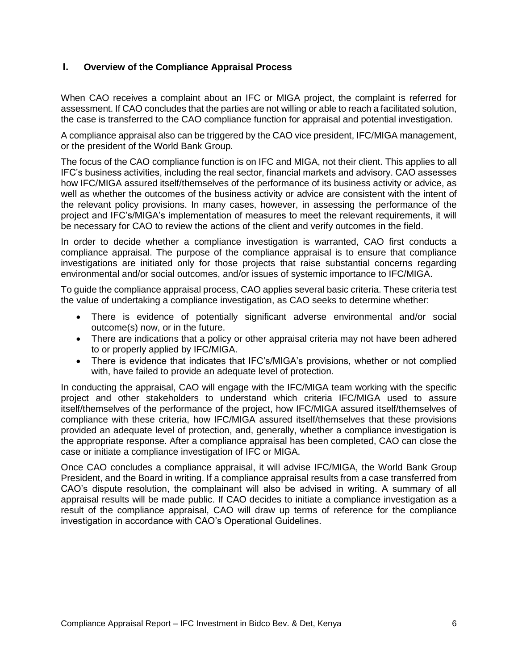# <span id="page-5-0"></span>**I. Overview of the Compliance Appraisal Process**

When CAO receives a complaint about an IFC or MIGA project, the complaint is referred for assessment. If CAO concludes that the parties are not willing or able to reach a facilitated solution, the case is transferred to the CAO compliance function for appraisal and potential investigation.

A compliance appraisal also can be triggered by the CAO vice president, IFC/MIGA management, or the president of the World Bank Group.

The focus of the CAO compliance function is on IFC and MIGA, not their client. This applies to all IFC's business activities, including the real sector, financial markets and advisory. CAO assesses how IFC/MIGA assured itself/themselves of the performance of its business activity or advice, as well as whether the outcomes of the business activity or advice are consistent with the intent of the relevant policy provisions. In many cases, however, in assessing the performance of the project and IFC's/MIGA's implementation of measures to meet the relevant requirements, it will be necessary for CAO to review the actions of the client and verify outcomes in the field.

In order to decide whether a compliance investigation is warranted, CAO first conducts a compliance appraisal. The purpose of the compliance appraisal is to ensure that compliance investigations are initiated only for those projects that raise substantial concerns regarding environmental and/or social outcomes, and/or issues of systemic importance to IFC/MIGA.

To guide the compliance appraisal process, CAO applies several basic criteria. These criteria test the value of undertaking a compliance investigation, as CAO seeks to determine whether:

- There is evidence of potentially significant adverse environmental and/or social outcome(s) now, or in the future.
- There are indications that a policy or other appraisal criteria may not have been adhered to or properly applied by IFC/MIGA.
- There is evidence that indicates that IFC's/MIGA's provisions, whether or not complied with, have failed to provide an adequate level of protection.

In conducting the appraisal, CAO will engage with the IFC/MIGA team working with the specific project and other stakeholders to understand which criteria IFC/MIGA used to assure itself/themselves of the performance of the project, how IFC/MIGA assured itself/themselves of compliance with these criteria, how IFC/MIGA assured itself/themselves that these provisions provided an adequate level of protection, and, generally, whether a compliance investigation is the appropriate response. After a compliance appraisal has been completed, CAO can close the case or initiate a compliance investigation of IFC or MIGA.

Once CAO concludes a compliance appraisal, it will advise IFC/MIGA, the World Bank Group President, and the Board in writing. If a compliance appraisal results from a case transferred from CAO's dispute resolution, the complainant will also be advised in writing. A summary of all appraisal results will be made public. If CAO decides to initiate a compliance investigation as a result of the compliance appraisal, CAO will draw up terms of reference for the compliance investigation in accordance with CAO's Operational Guidelines.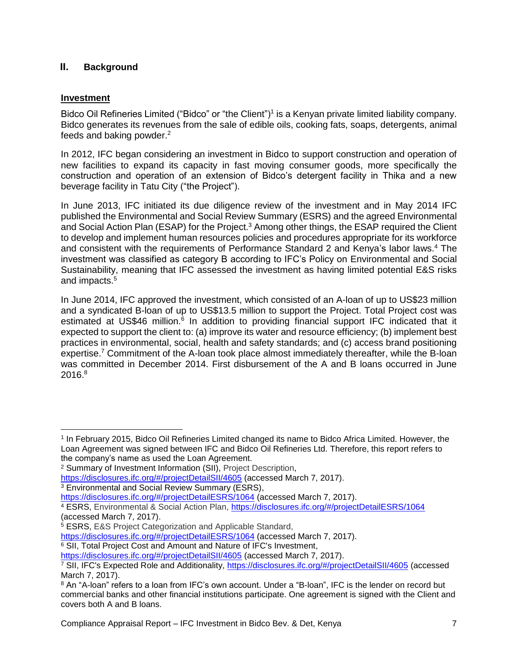# <span id="page-6-0"></span>**II. Background**

# <span id="page-6-1"></span>**Investment**

 $\overline{a}$ 

Bidco Oil Refineries Limited ("Bidco" or "the Client")<sup>1</sup> is a Kenyan private limited liability company. Bidco generates its revenues from the sale of edible oils, cooking fats, soaps, detergents, animal feeds and baking powder.<sup>2</sup>

In 2012, IFC began considering an investment in Bidco to support construction and operation of new facilities to expand its capacity in fast moving consumer goods, more specifically the construction and operation of an extension of Bidco's detergent facility in Thika and a new beverage facility in Tatu City ("the Project").

In June 2013, IFC initiated its due diligence review of the investment and in May 2014 IFC published the Environmental and Social Review Summary (ESRS) and the agreed Environmental and Social Action Plan (ESAP) for the Project.<sup>3</sup> Among other things, the ESAP required the Client to develop and implement human resources policies and procedures appropriate for its workforce and consistent with the requirements of Performance Standard 2 and Kenya's labor laws. <sup>4</sup> The investment was classified as category B according to IFC's Policy on Environmental and Social Sustainability, meaning that IFC assessed the investment as having limited potential E&S risks and impacts.<sup>5</sup>

In June 2014, IFC approved the investment, which consisted of an A-loan of up to US\$23 million and a syndicated B-loan of up to US\$13.5 million to support the Project. Total Project cost was estimated at US\$46 million.<sup>6</sup> In addition to providing financial support IFC indicated that it expected to support the client to: (a) improve its water and resource efficiency; (b) implement best practices in environmental, social, health and safety standards; and (c) access brand positioning expertise.<sup>7</sup> Commitment of the A-loan took place almost immediately thereafter, while the B-loan was committed in December 2014. First disbursement of the A and B loans occurred in June 2016.<sup>8</sup>

<https://disclosures.ifc.org/#/projectDetailSII/4605> (accessed March 7, 2017).

<sup>3</sup> Environmental and Social Review Summary (ESRS),

<https://disclosures.ifc.org/#/projectDetailESRS/1064> (accessed March 7, 2017).

<sup>1</sup> In February 2015, Bidco Oil Refineries Limited changed its name to Bidco Africa Limited. However, the Loan Agreement was signed between IFC and Bidco Oil Refineries Ltd. Therefore, this report refers to the company's name as used the Loan Agreement.

<sup>2</sup> Summary of Investment Information (SII), Project Description,

<https://disclosures.ifc.org/#/projectDetailESRS/1064> (accessed March 7, 2017).

<sup>4</sup> ESRS, Environmental & Social Action Plan,<https://disclosures.ifc.org/#/projectDetailESRS/1064> (accessed March 7, 2017).

<sup>5</sup> ESRS, E&S Project Categorization and Applicable Standard,

<sup>6</sup> SII, Total Project Cost and Amount and Nature of IFC's Investment,

<https://disclosures.ifc.org/#/projectDetailSII/4605> (accessed March 7, 2017).

<sup>7</sup> SII, IFC's Expected Role and Additionality, <https://disclosures.ifc.org/#/projectDetailSII/4605> (accessed March 7, 2017).

<sup>8</sup> An "A-loan" refers to a loan from IFC's own account. Under a "B-loan", IFC is the lender on record but commercial banks and other financial institutions participate. One agreement is signed with the Client and covers both A and B loans.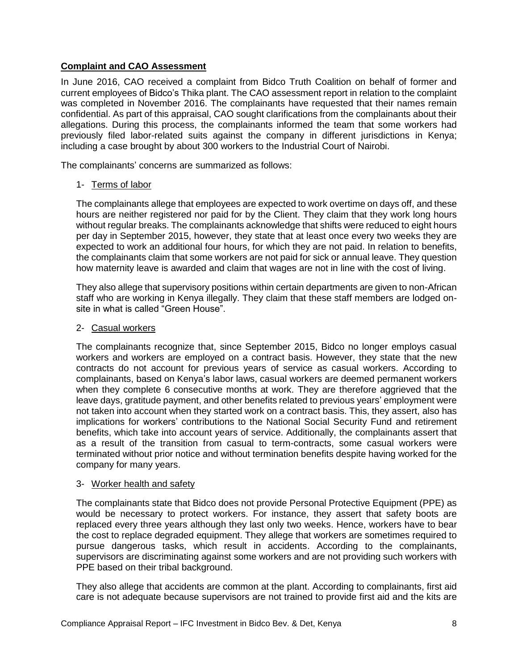# <span id="page-7-0"></span>**Complaint and CAO Assessment**

In June 2016, CAO received a complaint from Bidco Truth Coalition on behalf of former and current employees of Bidco's Thika plant. The CAO assessment report in relation to the complaint was completed in November 2016. The complainants have requested that their names remain confidential. As part of this appraisal, CAO sought clarifications from the complainants about their allegations. During this process, the complainants informed the team that some workers had previously filed labor-related suits against the company in different jurisdictions in Kenya; including a case brought by about 300 workers to the Industrial Court of Nairobi.

The complainants' concerns are summarized as follows:

#### 1- Terms of labor

The complainants allege that employees are expected to work overtime on days off, and these hours are neither registered nor paid for by the Client. They claim that they work long hours without regular breaks. The complainants acknowledge that shifts were reduced to eight hours per day in September 2015, however, they state that at least once every two weeks they are expected to work an additional four hours, for which they are not paid. In relation to benefits, the complainants claim that some workers are not paid for sick or annual leave. They question how maternity leave is awarded and claim that wages are not in line with the cost of living.

They also allege that supervisory positions within certain departments are given to non-African staff who are working in Kenya illegally. They claim that these staff members are lodged onsite in what is called "Green House".

#### 2- Casual workers

The complainants recognize that, since September 2015, Bidco no longer employs casual workers and workers are employed on a contract basis. However, they state that the new contracts do not account for previous years of service as casual workers. According to complainants, based on Kenya's labor laws, casual workers are deemed permanent workers when they complete 6 consecutive months at work. They are therefore aggrieved that the leave days, gratitude payment, and other benefits related to previous years' employment were not taken into account when they started work on a contract basis. This, they assert, also has implications for workers' contributions to the National Social Security Fund and retirement benefits, which take into account years of service. Additionally, the complainants assert that as a result of the transition from casual to term-contracts, some casual workers were terminated without prior notice and without termination benefits despite having worked for the company for many years.

#### 3- Worker health and safety

The complainants state that Bidco does not provide Personal Protective Equipment (PPE) as would be necessary to protect workers. For instance, they assert that safety boots are replaced every three years although they last only two weeks. Hence, workers have to bear the cost to replace degraded equipment. They allege that workers are sometimes required to pursue dangerous tasks, which result in accidents. According to the complainants, supervisors are discriminating against some workers and are not providing such workers with PPE based on their tribal background.

They also allege that accidents are common at the plant. According to complainants, first aid care is not adequate because supervisors are not trained to provide first aid and the kits are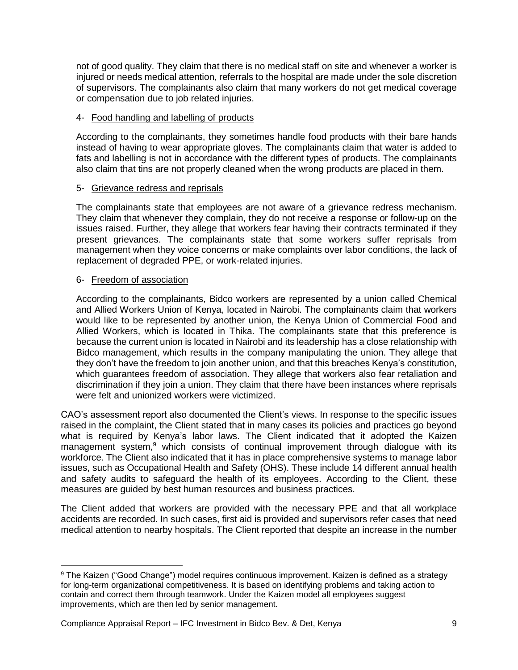not of good quality. They claim that there is no medical staff on site and whenever a worker is injured or needs medical attention, referrals to the hospital are made under the sole discretion of supervisors. The complainants also claim that many workers do not get medical coverage or compensation due to job related injuries.

# 4- Food handling and labelling of products

According to the complainants, they sometimes handle food products with their bare hands instead of having to wear appropriate gloves. The complainants claim that water is added to fats and labelling is not in accordance with the different types of products. The complainants also claim that tins are not properly cleaned when the wrong products are placed in them.

# 5- Grievance redress and reprisals

The complainants state that employees are not aware of a grievance redress mechanism. They claim that whenever they complain, they do not receive a response or follow-up on the issues raised. Further, they allege that workers fear having their contracts terminated if they present grievances. The complainants state that some workers suffer reprisals from management when they voice concerns or make complaints over labor conditions, the lack of replacement of degraded PPE, or work-related injuries.

#### 6- Freedom of association

 $\overline{\phantom{a}}$ 

According to the complainants, Bidco workers are represented by a union called Chemical and Allied Workers Union of Kenya, located in Nairobi. The complainants claim that workers would like to be represented by another union, the Kenya Union of Commercial Food and Allied Workers, which is located in Thika. The complainants state that this preference is because the current union is located in Nairobi and its leadership has a close relationship with Bidco management, which results in the company manipulating the union. They allege that they don't have the freedom to join another union, and that this breaches Kenya's constitution, which guarantees freedom of association. They allege that workers also fear retaliation and discrimination if they join a union. They claim that there have been instances where reprisals were felt and unionized workers were victimized.

CAO's assessment report also documented the Client's views. In response to the specific issues raised in the complaint, the Client stated that in many cases its policies and practices go beyond what is required by Kenya's labor laws. The Client indicated that it adopted the Kaizen management system,<sup>9</sup> which consists of continual improvement through dialogue with its workforce. The Client also indicated that it has in place comprehensive systems to manage labor issues, such as Occupational Health and Safety (OHS). These include 14 different annual health and safety audits to safeguard the health of its employees. According to the Client, these measures are guided by best human resources and business practices.

The Client added that workers are provided with the necessary PPE and that all workplace accidents are recorded. In such cases, first aid is provided and supervisors refer cases that need medical attention to nearby hospitals. The Client reported that despite an increase in the number

<sup>9</sup> The Kaizen ("Good Change") model requires continuous improvement. Kaizen is defined as a strategy for long-term organizational competitiveness. It is based on identifying problems and taking action to contain and correct them through teamwork. Under the Kaizen model all employees suggest improvements, which are then led by senior management.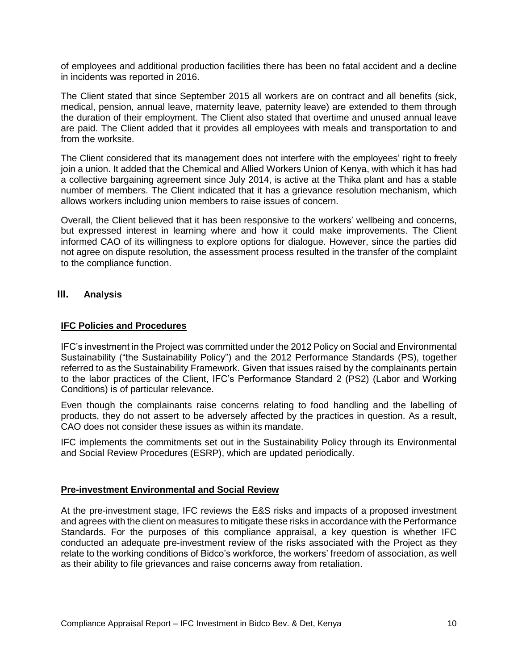of employees and additional production facilities there has been no fatal accident and a decline in incidents was reported in 2016.

The Client stated that since September 2015 all workers are on contract and all benefits (sick, medical, pension, annual leave, maternity leave, paternity leave) are extended to them through the duration of their employment. The Client also stated that overtime and unused annual leave are paid. The Client added that it provides all employees with meals and transportation to and from the worksite.

The Client considered that its management does not interfere with the employees' right to freely join a union. It added that the Chemical and Allied Workers Union of Kenya, with which it has had a collective bargaining agreement since July 2014, is active at the Thika plant and has a stable number of members. The Client indicated that it has a grievance resolution mechanism, which allows workers including union members to raise issues of concern.

Overall, the Client believed that it has been responsive to the workers' wellbeing and concerns, but expressed interest in learning where and how it could make improvements. The Client informed CAO of its willingness to explore options for dialogue. However, since the parties did not agree on dispute resolution, the assessment process resulted in the transfer of the complaint to the compliance function.

#### <span id="page-9-0"></span>**III. Analysis**

#### <span id="page-9-1"></span>**IFC Policies and Procedures**

IFC's investment in the Project was committed under the 2012 Policy on Social and Environmental Sustainability ("the Sustainability Policy") and the 2012 Performance Standards (PS), together referred to as the Sustainability Framework. Given that issues raised by the complainants pertain to the labor practices of the Client, IFC's Performance Standard 2 (PS2) (Labor and Working Conditions) is of particular relevance.

Even though the complainants raise concerns relating to food handling and the labelling of products, they do not assert to be adversely affected by the practices in question. As a result, CAO does not consider these issues as within its mandate.

IFC implements the commitments set out in the Sustainability Policy through its Environmental and Social Review Procedures (ESRP), which are updated periodically.

#### <span id="page-9-2"></span>**Pre-investment Environmental and Social Review**

At the pre-investment stage, IFC reviews the E&S risks and impacts of a proposed investment and agrees with the client on measures to mitigate these risks in accordance with the Performance Standards. For the purposes of this compliance appraisal, a key question is whether IFC conducted an adequate pre-investment review of the risks associated with the Project as they relate to the working conditions of Bidco's workforce, the workers' freedom of association, as well as their ability to file grievances and raise concerns away from retaliation.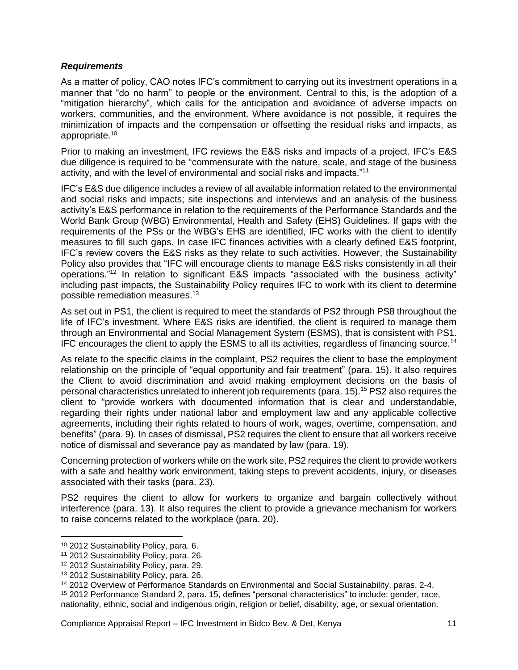#### <span id="page-10-0"></span>*Requirements*

As a matter of policy, CAO notes IFC's commitment to carrying out its investment operations in a manner that "do no harm" to people or the environment. Central to this, is the adoption of a "mitigation hierarchy", which calls for the anticipation and avoidance of adverse impacts on workers, communities, and the environment. Where avoidance is not possible, it requires the minimization of impacts and the compensation or offsetting the residual risks and impacts, as appropriate.<sup>10</sup>

Prior to making an investment, IFC reviews the E&S risks and impacts of a project. IFC's E&S due diligence is required to be "commensurate with the nature, scale, and stage of the business activity, and with the level of environmental and social risks and impacts."<sup>11</sup>

IFC's E&S due diligence includes a review of all available information related to the environmental and social risks and impacts; site inspections and interviews and an analysis of the business activity's E&S performance in relation to the requirements of the Performance Standards and the World Bank Group (WBG) Environmental, Health and Safety (EHS) Guidelines. If gaps with the requirements of the PSs or the WBG's EHS are identified, IFC works with the client to identify measures to fill such gaps. In case IFC finances activities with a clearly defined E&S footprint, IFC's review covers the E&S risks as they relate to such activities. However, the Sustainability Policy also provides that "IFC will encourage clients to manage E&S risks consistently in all their operations." <sup>12</sup> In relation to significant E&S impacts "associated with the business activity" including past impacts, the Sustainability Policy requires IFC to work with its client to determine possible remediation measures. 13

As set out in PS1, the client is required to meet the standards of PS2 through PS8 throughout the life of IFC's investment. Where E&S risks are identified, the client is required to manage them through an Environmental and Social Management System (ESMS), that is consistent with PS1. IFC encourages the client to apply the ESMS to all its activities, regardless of financing source.<sup>14</sup>

As relate to the specific claims in the complaint, PS2 requires the client to base the employment relationship on the principle of "equal opportunity and fair treatment" (para. 15). It also requires the Client to avoid discrimination and avoid making employment decisions on the basis of personal characteristics unrelated to inherent job requirements (para. 15). <sup>15</sup> PS2 also requires the client to "provide workers with documented information that is clear and understandable, regarding their rights under national labor and employment law and any applicable collective agreements, including their rights related to hours of work, wages, overtime, compensation, and benefits" (para. 9). In cases of dismissal, PS2 requires the client to ensure that all workers receive notice of dismissal and severance pay as mandated by law (para. 19).

Concerning protection of workers while on the work site, PS2 requires the client to provide workers with a safe and healthy work environment, taking steps to prevent accidents, injury, or diseases associated with their tasks (para. 23).

PS2 requires the client to allow for workers to organize and bargain collectively without interference (para. 13). It also requires the client to provide a grievance mechanism for workers to raise concerns related to the workplace (para. 20).

 $\overline{\phantom{a}}$ 

<sup>10</sup> 2012 Sustainability Policy, para. 6.

<sup>11</sup> 2012 Sustainability Policy, para. 26.

<sup>12</sup> 2012 Sustainability Policy, para. 29.

<sup>13</sup> 2012 Sustainability Policy, para. 26.

<sup>14</sup> 2012 Overview of Performance Standards on Environmental and Social Sustainability, paras. 2-4.

<sup>15</sup> 2012 Performance Standard 2, para. 15, defines "personal characteristics" to include: gender, race, nationality, ethnic, social and indigenous origin, religion or belief, disability, age, or sexual orientation.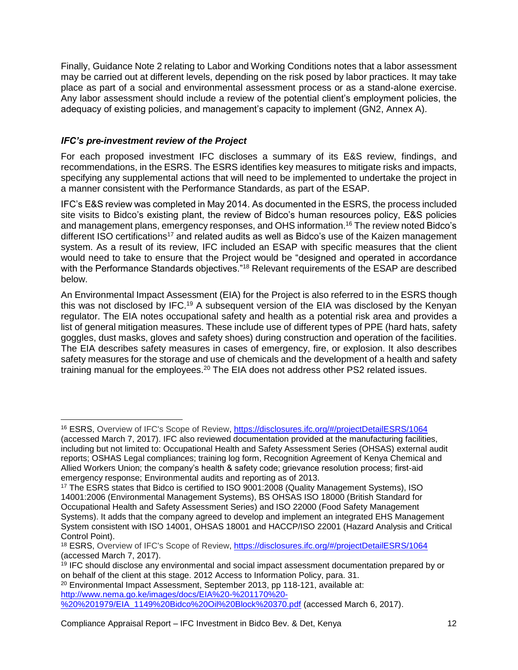Finally, Guidance Note 2 relating to Labor and Working Conditions notes that a labor assessment may be carried out at different levels, depending on the risk posed by labor practices. It may take place as part of a social and environmental assessment process or as a stand-alone exercise. Any labor assessment should include a review of the potential client's employment policies, the adequacy of existing policies, and management's capacity to implement (GN2, Annex A).

# <span id="page-11-0"></span>*IFC's pre-investment review of the Project*

For each proposed investment IFC discloses a summary of its E&S review, findings, and recommendations, in the ESRS. The ESRS identifies key measures to mitigate risks and impacts, specifying any supplemental actions that will need to be implemented to undertake the project in a manner consistent with the Performance Standards, as part of the ESAP.

IFC's E&S review was completed in May 2014. As documented in the ESRS, the process included site visits to Bidco's existing plant, the review of Bidco's human resources policy, E&S policies and management plans, emergency responses, and OHS information.<sup>16</sup> The review noted Bidco's different ISO certifications<sup>17</sup> and related audits as well as Bidco's use of the Kaizen management system. As a result of its review, IFC included an ESAP with specific measures that the client would need to take to ensure that the Project would be "designed and operated in accordance with the Performance Standards objectives."<sup>18</sup> Relevant requirements of the ESAP are described below.

An Environmental Impact Assessment (EIA) for the Project is also referred to in the ESRS though this was not disclosed by IFC.<sup>19</sup> A subsequent version of the EIA was disclosed by the Kenyan regulator. The EIA notes occupational safety and health as a potential risk area and provides a list of general mitigation measures. These include use of different types of PPE (hard hats, safety goggles, dust masks, gloves and safety shoes) during construction and operation of the facilities. The EIA describes safety measures in cases of emergency, fire, or explosion. It also describes safety measures for the storage and use of chemicals and the development of a health and safety training manual for the employees.<sup>20</sup> The EIA does not address other PS2 related issues.

 $\overline{\phantom{a}}$ <sup>16</sup> ESRS, Overview of IFC's Scope of Review, <https://disclosures.ifc.org/#/projectDetailESRS/1064>

<sup>(</sup>accessed March 7, 2017). IFC also reviewed documentation provided at the manufacturing facilities, including but not limited to: Occupational Health and Safety Assessment Series (OHSAS) external audit reports; OSHAS Legal compliances; training log form, Recognition Agreement of Kenya Chemical and Allied Workers Union; the company's health & safety code; grievance resolution process; first-aid emergency response; Environmental audits and reporting as of 2013.

<sup>17</sup> The ESRS states that Bidco is certified to ISO 9001:2008 (Quality Management Systems), ISO 14001:2006 (Environmental Management Systems), BS OHSAS ISO 18000 (British Standard for Occupational Health and Safety Assessment Series) and ISO 22000 (Food Safety Management Systems). It adds that the company agreed to develop and implement an integrated EHS Management System consistent with ISO 14001, OHSAS 18001 and HACCP/ISO 22001 (Hazard Analysis and Critical Control Point).

<sup>18</sup> ESRS, Overview of IFC's Scope of Review, <https://disclosures.ifc.org/#/projectDetailESRS/1064> (accessed March 7, 2017).

<sup>&</sup>lt;sup>19</sup> IFC should disclose any environmental and social impact assessment documentation prepared by or on behalf of the client at this stage. 2012 Access to Information Policy, para. 31.

<sup>20</sup> Environmental Impact Assessment, September 2013, pp 118-121, available at: [http://www.nema.go.ke/images/docs/EIA%20-%201170%20-](http://www.nema.go.ke/images/docs/EIA%20-%201170%20-%20%201979/EIA_1149%20Bidco%20Oil%20Block%20370.pdf)

[<sup>%20%201979/</sup>EIA\\_1149%20Bidco%20Oil%20Block%20370.pdf](http://www.nema.go.ke/images/docs/EIA%20-%201170%20-%20%201979/EIA_1149%20Bidco%20Oil%20Block%20370.pdf) (accessed March 6, 2017).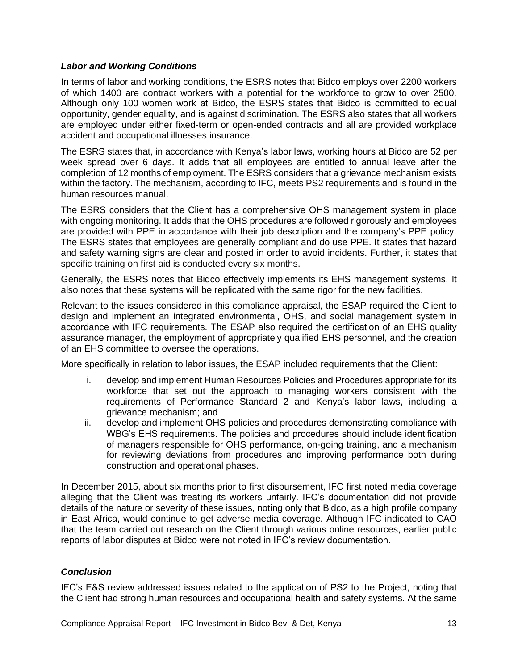#### <span id="page-12-0"></span>*Labor and Working Conditions*

In terms of labor and working conditions, the ESRS notes that Bidco employs over 2200 workers of which 1400 are contract workers with a potential for the workforce to grow to over 2500. Although only 100 women work at Bidco, the ESRS states that Bidco is committed to equal opportunity, gender equality, and is against discrimination. The ESRS also states that all workers are employed under either fixed-term or open-ended contracts and all are provided workplace accident and occupational illnesses insurance.

The ESRS states that, in accordance with Kenya's labor laws, working hours at Bidco are 52 per week spread over 6 days. It adds that all employees are entitled to annual leave after the completion of 12 months of employment. The ESRS considers that a grievance mechanism exists within the factory. The mechanism, according to IFC, meets PS2 requirements and is found in the human resources manual.

The ESRS considers that the Client has a comprehensive OHS management system in place with ongoing monitoring. It adds that the OHS procedures are followed rigorously and employees are provided with PPE in accordance with their job description and the company's PPE policy. The ESRS states that employees are generally compliant and do use PPE. It states that hazard and safety warning signs are clear and posted in order to avoid incidents. Further, it states that specific training on first aid is conducted every six months.

Generally, the ESRS notes that Bidco effectively implements its EHS management systems. It also notes that these systems will be replicated with the same rigor for the new facilities.

Relevant to the issues considered in this compliance appraisal, the ESAP required the Client to design and implement an integrated environmental, OHS, and social management system in accordance with IFC requirements. The ESAP also required the certification of an EHS quality assurance manager, the employment of appropriately qualified EHS personnel, and the creation of an EHS committee to oversee the operations.

More specifically in relation to labor issues, the ESAP included requirements that the Client:

- i. develop and implement Human Resources Policies and Procedures appropriate for its workforce that set out the approach to managing workers consistent with the requirements of Performance Standard 2 and Kenya's labor laws, including a grievance mechanism; and
- ii. develop and implement OHS policies and procedures demonstrating compliance with WBG's EHS requirements. The policies and procedures should include identification of managers responsible for OHS performance, on-going training, and a mechanism for reviewing deviations from procedures and improving performance both during construction and operational phases.

In December 2015, about six months prior to first disbursement, IFC first noted media coverage alleging that the Client was treating its workers unfairly. IFC's documentation did not provide details of the nature or severity of these issues, noting only that Bidco, as a high profile company in East Africa, would continue to get adverse media coverage. Although IFC indicated to CAO that the team carried out research on the Client through various online resources, earlier public reports of labor disputes at Bidco were not noted in IFC's review documentation.

# <span id="page-12-1"></span>*Conclusion*

IFC's E&S review addressed issues related to the application of PS2 to the Project, noting that the Client had strong human resources and occupational health and safety systems. At the same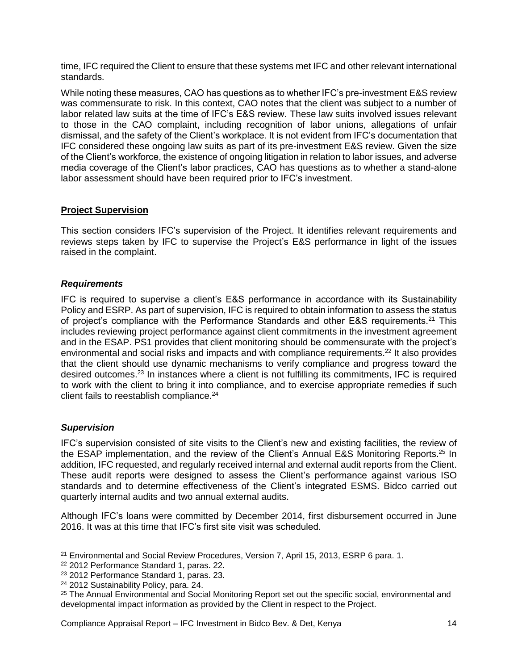time, IFC required the Client to ensure that these systems met IFC and other relevant international standards.

While noting these measures, CAO has questions as to whether IFC's pre-investment E&S review was commensurate to risk. In this context, CAO notes that the client was subject to a number of labor related law suits at the time of IFC's E&S review. These law suits involved issues relevant to those in the CAO complaint, including recognition of labor unions, allegations of unfair dismissal, and the safety of the Client's workplace. It is not evident from IFC's documentation that IFC considered these ongoing law suits as part of its pre-investment E&S review. Given the size of the Client's workforce, the existence of ongoing litigation in relation to labor issues, and adverse media coverage of the Client's labor practices, CAO has questions as to whether a stand-alone labor assessment should have been required prior to IFC's investment.

# <span id="page-13-0"></span>**Project Supervision**

This section considers IFC's supervision of the Project. It identifies relevant requirements and reviews steps taken by IFC to supervise the Project's E&S performance in light of the issues raised in the complaint.

#### <span id="page-13-1"></span>*Requirements*

IFC is required to supervise a client's E&S performance in accordance with its Sustainability Policy and ESRP. As part of supervision, IFC is required to obtain information to assess the status of project's compliance with the Performance Standards and other E&S requirements.<sup>21</sup> This includes reviewing project performance against client commitments in the investment agreement and in the ESAP. PS1 provides that client monitoring should be commensurate with the project's environmental and social risks and impacts and with compliance requirements.<sup>22</sup> It also provides that the client should use dynamic mechanisms to verify compliance and progress toward the desired outcomes.<sup>23</sup> In instances where a client is not fulfilling its commitments, IFC is required to work with the client to bring it into compliance, and to exercise appropriate remedies if such client fails to reestablish compliance.<sup>24</sup>

# <span id="page-13-2"></span>*Supervision*

l

IFC's supervision consisted of site visits to the Client's new and existing facilities, the review of the ESAP implementation, and the review of the Client's Annual E&S Monitoring Reports.<sup>25</sup> In addition, IFC requested, and regularly received internal and external audit reports from the Client. These audit reports were designed to assess the Client's performance against various ISO standards and to determine effectiveness of the Client's integrated ESMS. Bidco carried out quarterly internal audits and two annual external audits.

Although IFC's loans were committed by December 2014, first disbursement occurred in June 2016. It was at this time that IFC's first site visit was scheduled.

Compliance Appraisal Report – IFC Investment in Bidco Bev. & Det, Kenya 14

<sup>&</sup>lt;sup>21</sup> Environmental and Social Review Procedures, Version 7, April 15, 2013, ESRP 6 para. 1.

<sup>22</sup> 2012 Performance Standard 1, paras. 22.

<sup>23</sup> 2012 Performance Standard 1, paras. 23.

<sup>24</sup> 2012 Sustainability Policy, para. 24.

<sup>25</sup> The Annual Environmental and Social Monitoring Report set out the specific social, environmental and developmental impact information as provided by the Client in respect to the Project.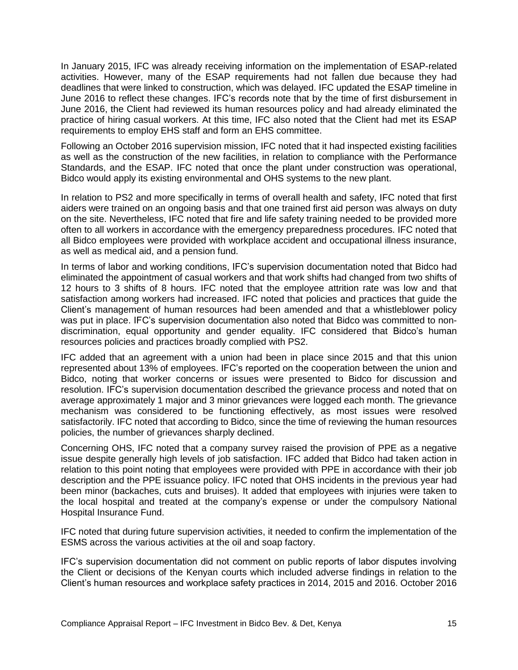In January 2015, IFC was already receiving information on the implementation of ESAP-related activities. However, many of the ESAP requirements had not fallen due because they had deadlines that were linked to construction, which was delayed. IFC updated the ESAP timeline in June 2016 to reflect these changes. IFC's records note that by the time of first disbursement in June 2016, the Client had reviewed its human resources policy and had already eliminated the practice of hiring casual workers. At this time, IFC also noted that the Client had met its ESAP requirements to employ EHS staff and form an EHS committee.

Following an October 2016 supervision mission, IFC noted that it had inspected existing facilities as well as the construction of the new facilities, in relation to compliance with the Performance Standards, and the ESAP. IFC noted that once the plant under construction was operational, Bidco would apply its existing environmental and OHS systems to the new plant.

In relation to PS2 and more specifically in terms of overall health and safety, IFC noted that first aiders were trained on an ongoing basis and that one trained first aid person was always on duty on the site. Nevertheless, IFC noted that fire and life safety training needed to be provided more often to all workers in accordance with the emergency preparedness procedures. IFC noted that all Bidco employees were provided with workplace accident and occupational illness insurance, as well as medical aid, and a pension fund.

In terms of labor and working conditions, IFC's supervision documentation noted that Bidco had eliminated the appointment of casual workers and that work shifts had changed from two shifts of 12 hours to 3 shifts of 8 hours. IFC noted that the employee attrition rate was low and that satisfaction among workers had increased. IFC noted that policies and practices that guide the Client's management of human resources had been amended and that a whistleblower policy was put in place. IFC's supervision documentation also noted that Bidco was committed to nondiscrimination, equal opportunity and gender equality. IFC considered that Bidco's human resources policies and practices broadly complied with PS2.

IFC added that an agreement with a union had been in place since 2015 and that this union represented about 13% of employees. IFC's reported on the cooperation between the union and Bidco, noting that worker concerns or issues were presented to Bidco for discussion and resolution. IFC's supervision documentation described the grievance process and noted that on average approximately 1 major and 3 minor grievances were logged each month. The grievance mechanism was considered to be functioning effectively, as most issues were resolved satisfactorily. IFC noted that according to Bidco, since the time of reviewing the human resources policies, the number of grievances sharply declined.

Concerning OHS, IFC noted that a company survey raised the provision of PPE as a negative issue despite generally high levels of job satisfaction. IFC added that Bidco had taken action in relation to this point noting that employees were provided with PPE in accordance with their job description and the PPE issuance policy. IFC noted that OHS incidents in the previous year had been minor (backaches, cuts and bruises). It added that employees with injuries were taken to the local hospital and treated at the company's expense or under the compulsory National Hospital Insurance Fund.

IFC noted that during future supervision activities, it needed to confirm the implementation of the ESMS across the various activities at the oil and soap factory.

IFC's supervision documentation did not comment on public reports of labor disputes involving the Client or decisions of the Kenyan courts which included adverse findings in relation to the Client's human resources and workplace safety practices in 2014, 2015 and 2016. October 2016